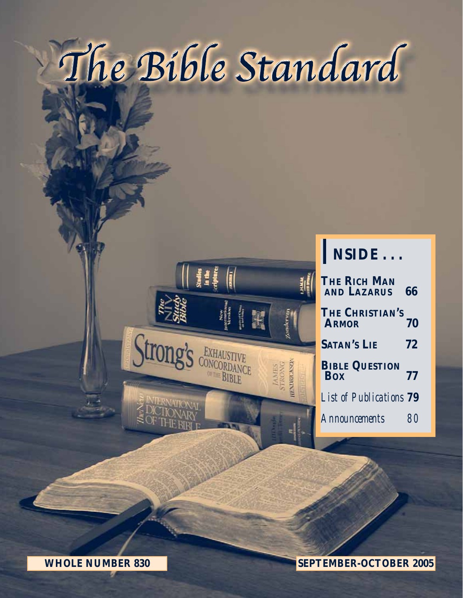# The Bible Standard



## I**NSIDE . . .**

| <b>THE RICH MAN</b><br><b>AND LAZARUS</b> | 66 |
|-------------------------------------------|----|
| THE CHRISTIAN'S<br><b>ARMOR</b>           | 70 |
| <b>SATAN'S LIE</b>                        | 72 |
| <b>BIBLE QUESTION</b> 77                  |    |
| <b>List of Publications 79</b>            |    |
| <b>Announcements</b>                      | 8  |

**WHOLE NUMBER 830 SEPTEMBER-OCTOBER 2005**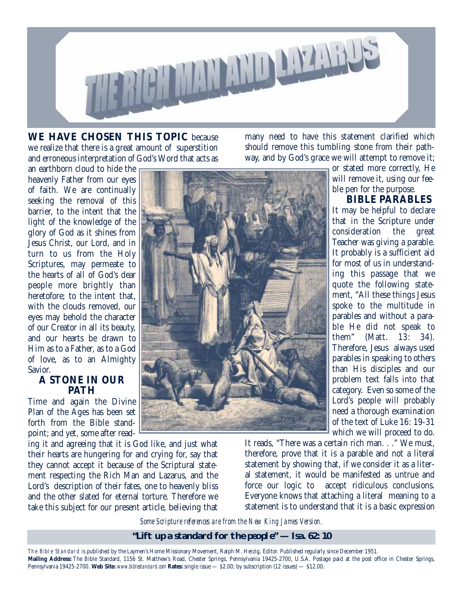

**WE HAVE CHOSEN THIS TOPIC** because we realize that there is a great amount of superstition and erroneous interpretation of God's Word that acts as

many need to have this statement clarified which should remove this tumbling stone from their pathway, and by God's grace we will attempt to remove it;

an earthborn cloud to hide the heavenly Father from our eyes of faith. We are continually seeking the removal of this barrier, to the intent that the light of the knowledge of the glory of God as it shines from Jesus Christ, our Lord, and in turn to us from the Holy Scriptures, may permeate to the hearts of all of God's dear people more brightly than heretofore; to the intent that, with the clouds removed, our eyes may behold the character of our Creator in all its beauty, and our hearts be drawn to Him as to a Father, as to a God of love, as to an Almighty Savior.

#### **A STONE IN OUR PATH**

Time and again the Divine Plan of the Ages has been set forth from the Bible standpoint; and yet, some after read-

ing it and agreeing that it is God like, and just what their hearts are hungering for and crying for, say that they cannot accept it because of the Scriptural statement respecting the Rich Man and Lazarus, and the Lord's description of their fates, one to heavenly bliss and the other slated for eternal torture. Therefore we take this subject for our present article, believing that



or stated more correctly, He will remove it, using our feeble pen for the purpose.

**BIBLE PARABLES**

It may be helpful to declare that in the Scripture under consideration the great Teacher was giving a parable. It probably is a sufficient aid for most of us in understanding this passage that we quote the following statement, "All these things Jesus spoke to the multitude in parables and without a parable He did not speak to them" (Matt. 13: 34). Therefore, Jesus always used parables in speaking to others than His disciples and our problem text falls into that category. Even so some of the Lord's people will probably need a thorough examination of the text of Luke 16: 19-31 which we will proceed to do.

It reads, "There was a certain rich man. . ." We must, therefore, prove that it is a parable and not a literal statement by showing that, if we consider it as a literal statement, it would be manifested as untrue and force our logic to accept ridiculous conclusions. Everyone knows that attaching a literal meaning to a statement is to understand that it is a basic expression

*Some Scripture references are from the New King James Version.*

#### **"Lift up a standard for the people" — Isa. 62: 10**

The Bible Standard is published by the Laymen's Home Missionary Movement, Ralph M. Herzig, Editor. Published regularly since December 1951. **Mailing Address:** The Bible Standard, 1156 St. Matthew's Road, Chester Springs, Pennsylvania 19425-2700, U.S.A. Postage paid at the post office in Chester Springs, Pennsylvania 19425-2700. **Web Site:** *www.biblestandard.com* **Rates:** single issue — \$2.00; by subscription (12 issues) — \$12.00.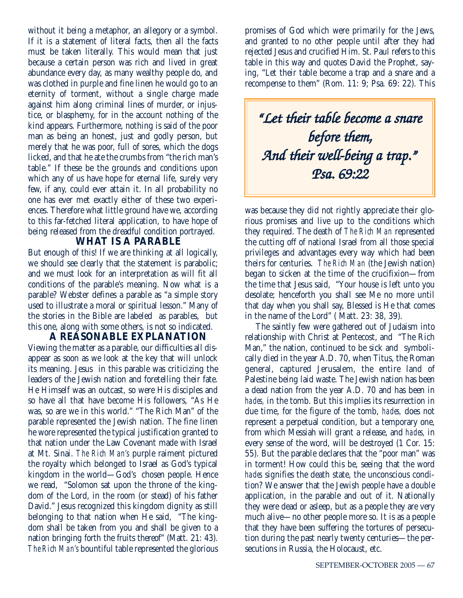without it being a metaphor, an allegory or a symbol. If it is a statement of literal facts, then all the facts must be taken literally. This would mean that just because a certain person was rich and lived in great abundance every day, as many wealthy people do, and was clothed in purple and fine linen he would go to an eternity of torment, without a single charge made against him along criminal lines of murder, or injustice, or blasphemy, for in the account nothing of the kind appears. Furthermore, nothing is said of the poor man as being an honest, just and godly person, but merely that he was poor, full of sores, which the dogs licked, and that he ate the crumbs from "the rich man's table." If these be the grounds and conditions upon which any of us have hope for eternal life, surely very few, if any, could ever attain it. In all probability no one has ever met exactly either of these two experiences. Therefore what little ground have we, according to this far-fetched literal application, to have hope of being released from the dreadful condition portrayed.

#### **WHAT IS A PARABLE**

But enough of this! If we are thinking at all logically, we should see clearly that the statement is parabolic; and we must look for an interpretation as will fit all conditions of the parable's meaning. Now what is a parable? Webster defines a parable as "a simple story used to illustrate a moral or spiritual lesson." Many of the stories in the Bible are labeled as parables, but this one, along with some others, is not so indicated.

**A REASONABLE EXPLANATION** Viewing the matter as a parable, our difficulties all disappear as soon as we look at the key that will unlock its meaning. Jesus in this parable was criticizing the leaders of the Jewish nation and foretelling their fate. He Himself was an outcast, so were His disciples and so have all that have become His followers, "As He was, so are we in this world." "The Rich Man" of the parable represented the Jewish nation. The fine linen he wore represented the typical justification granted to that nation under the Law Covenant made with Israel at Mt. Sinai. *The Rich Man's* purple raiment pictured the royalty which belonged to Israel as God's typical kingdom in the world—God's chosen people. Hence we read, "Solomon sat upon the throne of the kingdom of the Lord, in the room (or stead) of his father David." Jesus recognized this kingdom dignity as still belonging to that nation when He said, "The kingdom shall be taken from you and shall be given to a nation bringing forth the fruits thereof" (Matt. 21: 43). *The Rich Man's* bountiful table represented the glorious

promises of God which were primarily for the Jews, and granted to no other people until after they had rejected Jesus and crucified Him. St. Paul refers to this table in this way and quotes David the Prophet, saying, "Let their table become a trap and a snare and a recompense to them" (Rom. 11: 9; Psa. 69: 22). This

*"Let their table become a snare before them, And their well-being a trap." Psa. 69:22*

was because they did not rightly appreciate their glorious promises and live up to the conditions which they required. The death of *The Rich Man* represented the cutting off of national Israel from all those special privileges and advantages every way which had been theirs for centuries. *The Rich Man* (the Jewish nation) began to sicken at the time of the crucifixion—from the time that Jesus said, "Your house is left unto you desolate; henceforth you shall see Me no more until that day when you shall say, Blessed is He that comes in the name of the Lord" ( Matt. 23: 38, 39).

The saintly few were gathered out of Judaism into relationship with Christ at Pentecost, and "The Rich Man," the nation, continued to be sick and symbolically died in the year A.D. 70, when Titus, the Roman general, captured Jerusalem, the entire land of Palestine being laid waste. The Jewish nation has been a dead nation from the year A.D. 70 and has been in *hades,* in the tomb. But this implies its resurrection in due time, for the figure of the tomb, *hades,* does not represent a perpetual condition, but a temporary one, from which Messiah will grant a release, and *hades,* in every sense of the word, will be destroyed (1 Cor. 15: 55). But the parable declares that the "poor man" was in torment! How could this be, seeing that the word *hades* signifies the death state, the unconscious condition? We answer that the Jewish people have a double application, in the parable and out of it. Nationally they were dead or asleep, but as a people they are very much alive—no other people more so. It is as a people that they have been suffering the tortures of persecution during the past nearly twenty centuries—the persecutions in Russia, the Holocaust, etc.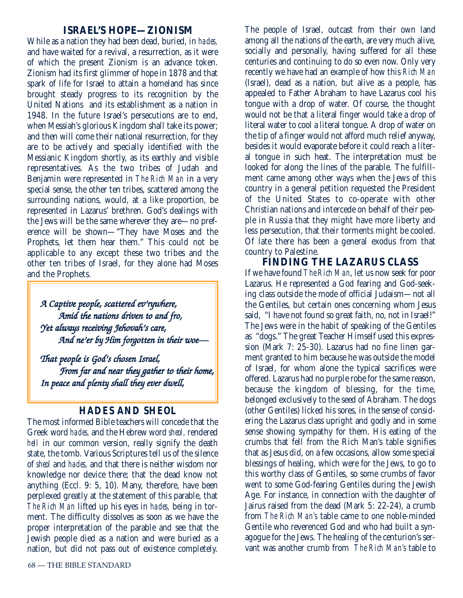#### **ISRAEL'S HOPE—ZIONISM**

While as a nation they had been dead, buried, in *hades,* and have waited for a revival, a resurrection, as it were of which the present Zionism is an advance token. Zionism had its first glimmer of hope in 1878 and that spark of life for Israel to attain a homeland has since brought steady progress to its recognition by the United Nations and its establishment as a nation in 1948. In the future Israel's persecutions are to end, when Messiah's glorious Kingdom shall take its power; and then will come their national resurrection, for they are to be actively and specially identified with the Messianic Kingdom shortly, as its earthly and visible representatives. As the two tribes of Judah and Benjamin were represented in *The Rich Man* in a very special sense, the other ten tribes, scattered among the surrounding nations, would, at a like proportion, be represented in Lazarus' brethren. God's dealings with the Jews will be the same wherever they are—no preference will be shown—"They have Moses and the Prophets, let them hear them." This could not be applicable to any except these two tribes and the other ten tribes of Israel, for they alone had Moses and the Prophets.

*A Captive people, scattered ev'rywhere, Amid the nations driven to and fro, Yet always receiving Jehovah's care, And ne'er by Him forgotten in their woe—* 

*That people is God's chosen Israel, From far and near they gather to their home, In peace and plenty shall they ever dwell,*

#### *HADES AND SHEOL*

The most informed Bible teachers will concede that the Greek word *hades,* and the Hebrew word *sheol,* rendered *hell* in our common version, really signify the death state, the tomb. Various Scriptures tell us of the silence of *sheol* and *hades,* and that there is neither wisdom nor knowledge nor device there; that the dead know not anything (Eccl. 9: 5, 10). Many, therefore, have been perplexed greatly at the statement of this parable, that *The Rich Man* lifted up his eyes in *hades,* being in torment. The difficulty dissolves as soon as we have the proper interpretation of the parable and see that the Jewish people died as a nation and were buried as a nation, but did not pass out of existence completely.

The people of Israel, outcast from their own land among all the nations of the earth, are very much alive, socially and personally, having suffered for all these centuries and continuing to do so even now. Only very recently we have had an example of how this *Rich Man* (Israel), dead as a nation, but alive as a people, has appealed to Father Abraham to have Lazarus cool his tongue with a drop of water. Of course, the thought would not be that a literal finger would take a drop of literal water to cool a literal tongue. A drop of water on the tip of a finger would not afford much relief anyway, besides it would evaporate before it could reach a literal tongue in such heat. The interpretation must be looked for along the lines of the parable. The fulfillment came among other ways when the Jews of this country in a general petition requested the President of the United States to co-operate with other Christian nations and intercede on behalf of their people in Russia that they might have more liberty and less persecution, that their torments might be cooled. Of late there has been a general exodus from that country to Palestine.

**FINDING THE LAZARUS CLASS**

If we have found *The Rich Man*, let us now seek for poor Lazarus. He represented a God fearing and God-seeking class outside the mode of official Judaism—not all the Gentiles, but certain ones concerning whom Jesus said, "I have not found so great faith, no, not in Israel!" The Jews were in the habit of speaking of the Gentiles as "dogs." The great Teacher Himself used this expression (Mark 7: 25-30). Lazarus had no fine linen garment granted to him because he was outside the model of Israel, for whom alone the typical sacrifices were offered. Lazarus had no purple robe for the same reason, because the kingdom of blessing, for the time, belonged exclusively to the seed of Abraham. The dogs (other Gentiles) licked his sores, in the sense of considering the Lazarus class upright and godly and in some sense showing sympathy for them. His eating of the crumbs that fell from the Rich Man's table signifies that as Jesus did, on a few occasions, allow some special blessings of healing, which were for the Jews, to go to this worthy class of Gentiles, so some crumbs of favor went to some God-fearing Gentiles during the Jewish Age. For instance, in connection with the daughter of Jairus raised from the dead (Mark 5: 22-24), a crumb from *The Rich Man's* table came to one noble-minded Gentile who reverenced God and who had built a synagogue for the Jews. The healing of the centurion's servant was another crumb from *The Rich Man's* table to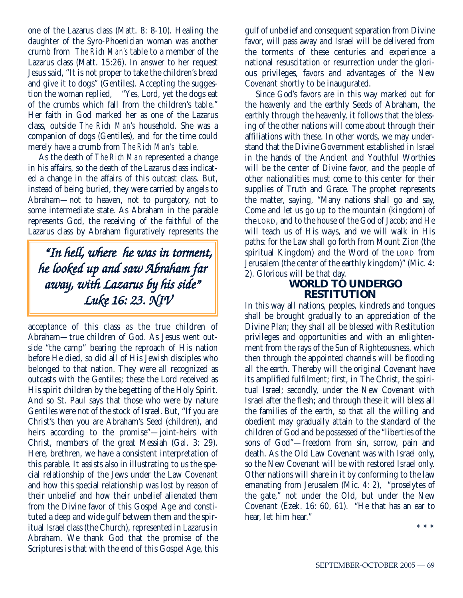one of the Lazarus class (Matt. 8: 8-10). Healing the daughter of the Syro-Phoenician woman was another crumb from *The Rich Man's* table to a member of the Lazarus class (Matt. 15:26). In answer to her request Jesus said, "It is not proper to take the children's bread and give it to dogs" (Gentiles). Accepting the suggestion the woman replied, "Yes, Lord, yet the dogs eat of the crumbs which fall from the children's table." Her faith in God marked her as one of the Lazarus class, outside *The Rich Man's* household. She was a companion of dogs (Gentiles), and for the time could merely have a crumb from *The Rich Man's* table.

As the death of *The Rich Man* represented a change in his affairs, so the death of the Lazarus class indicated a change in the affairs of this outcast class. But, instead of being buried, they were carried by angels to Abraham—not to heaven, not to purgatory, not to some intermediate state. As Abraham in the parable represents God, the receiving of the faithful of the Lazarus class by Abraham figuratively represents the

*"In hell, where he was in torment, he looked up and saw Abraham far away, with Lazarus by his side" Luke 16: 23. NIV*

acceptance of this class as the true children of Abraham—true children of God. As Jesus went outside "the camp" bearing the reproach of His nation before He died, so did all of His Jewish disciples who belonged to that nation. They were all recognized as outcasts with the Gentiles; these the Lord received as His spirit children by the begetting of the Holy Spirit. And so St. Paul says that those who were by nature Gentiles were not of the stock of Israel. But, "If you are Christ's then you are Abraham's Seed (children), and heirs according to the promise"—joint-heirs with Christ, members of the great Messiah (Gal. 3: 29). Here, brethren, we have a consistent interpretation of this parable. It assists also in illustrating to us the special relationship of the Jews under the Law Covenant and how this special relationship was lost by reason of their unbelief and how their unbelief alienated them from the Divine favor of this Gospel Age and constituted a deep and wide gulf between them and the spiritual Israel class (the Church), represented in Lazarus in Abraham. We thank God that the promise of the Scriptures is that with the end of this Gospel Age, this

gulf of unbelief and consequent separation from Divine favor, will pass away and Israel will be delivered from the torments of these centuries and experience a national resuscitation or resurrection under the glorious privileges, favors and advantages of the New Covenant shortly to be inaugurated.

Since God's favors are in this way marked out for the heavenly and the earthly Seeds of Abraham, the earthly through the heavenly, it follows that the blessing of the other nations will come about through their affiliations with these. In other words, we may understand that the Divine Government established in Israel in the hands of the Ancient and Youthful Worthies will be the center of Divine favor, and the people of other nationalities must come to this center for their supplies of Truth and Grace. The prophet represents the matter, saying, "Many nations shall go and say, Come and let us go up to the mountain (kingdom) of the LORD, and to the house of the God of Jacob; and He will teach us of His ways, and we will walk in His paths: for the Law shall go forth from Mount Zion (the spiritual Kingdom) and the Word of the LORD from Jerusalem (the center of the earthly kingdom)" (Mic. 4: 2). Glorious will be that day.

#### **WORLD TO UNDERGO RESTITUTION**

In this way all nations, peoples, kindreds and tongues shall be brought gradually to an appreciation of the Divine Plan; they shall all be blessed with Restitution privileges and opportunities and with an enlightenment from the rays of the Sun of Righteousness, which then through the appointed channels will be flooding all the earth. Thereby will the original Covenant have its amplified fulfilment; first, in The Christ, the spiritual Israel; secondly, under the New Covenant with Israel after the flesh; and through these it will bless all the families of the earth, so that all the willing and obedient may gradually attain to the standard of the children of God and be possessed of the "liberties of the sons of God"—freedom from sin, sorrow, pain and death. As the Old Law Covenant was with Israel only, so the New Covenant will be with restored Israel only. Other nations will share in it by conforming to the law emanating from Jerusalem (Mic. 4: 2), "proselytes of the gate," not under the Old, but under the New Covenant (Ezek. 16: 60, 61). "He that has an ear to hear, let him hear."

\*\*\*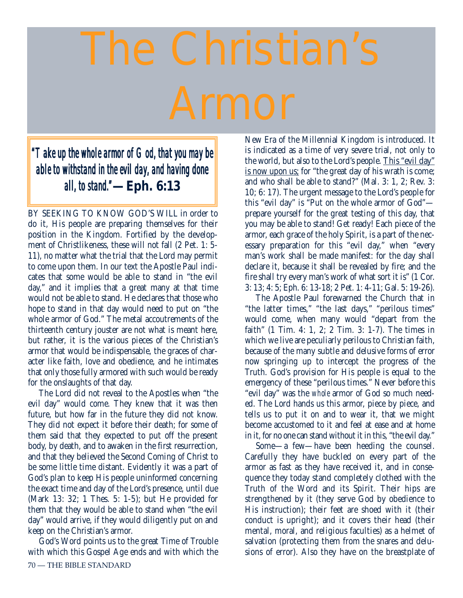# The Christian's

### *"Take up the whole armor of God, that you may be able to withstand in the evil day, and having done all, to stand."***—Eph. 6:13**

BY SEEKING TO KNOW GOD'S WILL in order to do it, His people are preparing themselves for their position in the Kingdom. Fortified by the development of Christlikeness, these will not fall (2 Pet. 1: 5- 11), no matter what the trial that the Lord may permit to come upon them. In our text the Apostle Paul indicates that some would be able to stand in "the evil day," and it implies that a great many at that time would not be able to stand. He declares that those who hope to stand in that day would need to put on "the whole armor of God." The metal accoutrements of the thirteenth century jouster are not what is meant here, but rather, it is the various pieces of the Christian's armor that would be indispensable, the graces of character like faith, love and obedience, and he intimates that only those fully armored with such would be ready for the onslaughts of that day.

The Lord did not reveal to the Apostles when "the evil day" would come. They knew that it was then future, but how far in the future they did not know. They did not expect it before their death; for some of them said that they expected to put off the present body, by death, and to awaken in the first resurrection, and that they believed the Second Coming of Christ to be some little time distant. Evidently it was a part of God's plan to keep His people uninformed concerning the exact time and day of the Lord's presence, until due (Mark 13: 32; 1 Thes. 5: 1-5); but He provided for them that they would be able to stand when "the evil day" would arrive, if they would diligently put on and keep on the Christian's armor.

God's Word points us to the great Time of Trouble with which this Gospel Age ends and with which the 70 — THE BIBLE STANDARD

New Era of the Millennial Kingdom is introduced. It is indicated as a time of very severe trial, not only to the world, but also to the Lord's people. This "evil day" is now upon us; for "the great day of his wrath is come; and who shall be able to stand?" (Mal. 3: 1, 2; Rev. 3: 10; 6: 17). The urgent message to the Lord's people for this "evil day" is "Put on the whole armor of God" prepare yourself for the great testing of this day, that you may be able to stand! Get ready! Each piece of the armor, each grace of the holy Spirit, is a part of the necessary preparation for this "evil day," when "every man's work shall be made manifest: for the day shall declare it, because it shall be revealed by fire; and the fire shall try every man's work of what sort it is" (1 Cor. 3: 13; 4: 5; Eph. 6: 13-18; 2 Pet. 1: 4-11; Gal. 5: 19-26).

The Apostle Paul forewarned the Church that in "the latter times," "the last days," "perilous times" would come, when many would "depart from the faith" (1 Tim. 4: 1, 2; 2 Tim. 3: 1-7). The times in which we live are peculiarly perilous to Christian faith, because of the many subtle and delusive forms of error now springing up to intercept the progress of the Truth. God's provision for His people is equal to the emergency of these "perilous times." Never before this "evil day" was the *whole* armor of God so much needed. The Lord hands us this armor, piece by piece, and tells us to put it on and to wear it, that we might become accustomed to it and feel at ease and at home in it, for no one can stand without it in this, "the evil day."

Some—a few—have been heeding the counsel. Carefully they have buckled on every part of the armor as fast as they have received it, and in consequence they today stand completely clothed with the Truth of the Word and its Spirit. Their hips are strengthened by it (they serve God by obedience to His instruction); their feet are shoed with it (their conduct is upright); and it covers their head (their mental, moral, and religious faculties) as a helmet of salvation (protecting them from the snares and delusions of error). Also they have on the breastplate of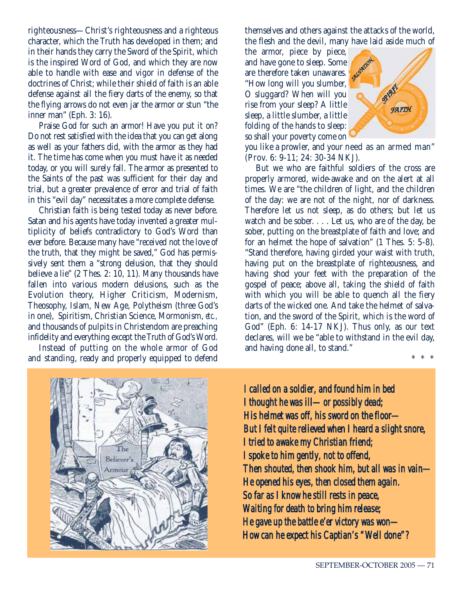righteousness—Christ's righteousness and a righteous character, which the Truth has developed in them; and in their hands they carry the Sword of the Spirit, which is the inspired Word of God, and which they are now able to handle with ease and vigor in defense of the doctrines of Christ; while their shield of faith is an able defense against all the fiery darts of the enemy, so that the flying arrows do not even jar the armor or stun "the inner man" (Eph. 3: 16).

Praise God for such an armor! Have you put it on? Do not rest satisfied with the idea that you can get along as well as your fathers did, with the armor as they had it. The time has come when you must have it as needed today, or you will surely fall. The armor as presented to the Saints of the past was sufficient for their day and trial, but a greater prevalence of error and trial of faith in this "evil day" necessitates a more complete defense.

Christian faith is being tested today as never before. Satan and his agents have today invented a greater multiplicity of beliefs contradictory to God's Word than ever before. Because many have "received not the love of the truth, that they might be saved," God has permissively sent them a "strong delusion, that they should believe a lie" (2 Thes. 2: 10, 11). Many thousands have fallen into various modern delusions, such as the Evolution theory, Higher Criticism, Modernism, Theosophy, Islam, New Age, Polytheism (three God's in one), Spiritism, Christian Science, Mormonism, *etc.,* and thousands of pulpits in Christendom are preaching infidelity and everything except the Truth of God's Word.

Instead of putting on the whole armor of God and standing, ready and properly equipped to defend

themselves and others against the attacks of the world, the flesh and the devil, many have laid aside much of

the armor, piece by piece, and have gone to sleep. Some and have gone to sleep. Some "How long will you slumber, O sluggard? When will you rise from your sleep? A little sleep, a little slumber, a little folding of the hands to sleep: so shall your poverty come on



you like a prowler, and your need as an armed man" (Prov. 6: 9-11; 24: 30-34 NKJ).

But we who are faithful soldiers of the cross are properly armored, wide-awake and on the alert at all times. We are "the children of light, and the children of the day: we are not of the night, nor of darkness. Therefore let us not sleep, as do others; but let us watch and be sober. . . . Let us, who are of the day, be sober, putting on the breastplate of faith and love; and for an helmet the hope of salvation" (1 Thes. 5: 5-8). "Stand therefore, having girded your waist with truth, having put on the breastplate of righteousness, and having shod your feet with the preparation of the gospel of peace; above all, taking the shield of faith with which you will be able to quench all the fiery darts of the wicked one. And take the helmet of salvation, and the sword of the Spirit, which is the word of God" (Eph. 6: 14-17 NKJ). Thus only, as our text declares, will we be "able to withstand in the evil day, and having done all, to stand."

\* \* \*



*I called on a soldier, and found him in bed I thought he was ill—or possibly dead; His helmet was off, his sword on the floor— But I felt quite relieved when I heard a slight snore, I tried to awake my Christian friend; I spoke to him gently, not to offend, Then shouted, then shook him, but all was in vain— He opened his eyes, then closed them again. So far as I know he still rests in peace, Waiting for death to bring him release; He gave up the battle e'er victory was won— How can he expect his Captian's "Well done"?*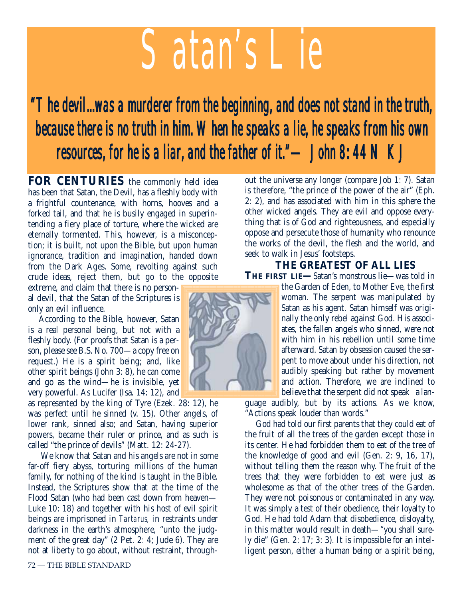# *Satan's Lie*

# *"The devil...was a murderer from the beginning, and does not stand in the truth, because there is no truth in him. When he speaks a lie, he speaks from his own resources, for he is a liar, and the father of it."—John 8: 44 NKJ*

**FOR CENTURIES** the commonly held idea has been that Satan, the Devil, has a fleshly body with a frightful countenance, with horns, hooves and a forked tail, and that he is busily engaged in superintending a fiery place of torture, where the wicked are eternally tormented. This, however, is a misconception; it is built, not upon the Bible, but upon human ignorance, tradition and imagination, handed down from the Dark Ages. Some, revolting against such crude ideas, reject them, but go to the opposite

extreme, and claim that there is no personal devil, that the Satan of the Scriptures is only an evil influence.

According to the Bible, however, Satan is a real personal being, but not with a fleshly body. (For proofs that Satan is a person, please see B.S. No. 700—a copy free on request.) He is a spirit being; and, like other spirit beings (John 3: 8), he can come and go as the wind—he is invisible, yet very powerful. As Lucifer (Isa. 14: 12), and

as represented by the king of Tyre (Ezek. 28: 12), he was perfect until he sinned (v. 15). Other angels, of lower rank, sinned also; and Satan, having superior powers, became their ruler or prince, and as such is called "the prince of devils" (Matt. 12: 24-27).

We know that Satan and his angels are not in some far-off fiery abyss, torturing millions of the human family, for nothing of the kind is taught in the Bible. Instead, the Scriptures show that at the time of the Flood Satan (who had been cast down from heaven— Luke 10: 18) and together with his host of evil spirit beings are imprisoned in *Tartarus,* in restraints under darkness in the earth's atmosphere, "unto the judgment of the great day" (2 Pet. 2: 4; Jude 6). They are not at liberty to go about, without restraint, through-



out the universe any longer (compare Job 1: 7). Satan is therefore, "the prince of the power of the air" (Eph. 2: 2), and has associated with him in this sphere the other wicked angels. They are evil and oppose everything that is of God and righteousness, and especially oppose and persecute those of humanity who renounce the works of the devil, the flesh and the world, and seek to walk in Jesus' footsteps.

#### **THE GREATEST OF ALL LIES THE FIRST LIE—**Satan's monstrous lie—was told in

the Garden of Eden, to Mother Eve, the first woman. The serpent was manipulated by Satan as his agent. Satan himself was originally the only rebel against God. His associates, the fallen angels who sinned, were not with him in his rebellion until some time afterward. Satan by obsession caused the serpent to move about under his direction, not audibly speaking but rather by movement and action. Therefore, we are inclined to believe that the serpent did not speak a lan-

guage audibly, but by its actions. As we know, "Actions speak louder than words."

God had told our first parents that they could eat of the fruit of all the trees of the garden except those in its center. He had forbidden them to eat of the tree of the knowledge of good and evil (Gen. 2: 9, 16, 17), without telling them the reason why. The fruit of the trees that they were forbidden to eat were just as wholesome as that of the other trees of the Garden. They were not poisonous or contaminated in any way. It was simply a test of their obedience, their loyalty to God. He had told Adam that disobedience, disloyalty, in this matter would result in death—"you shall surely die" (Gen. 2: 17; 3: 3). It is impossible for an intelligent person, either a human being or a spirit being,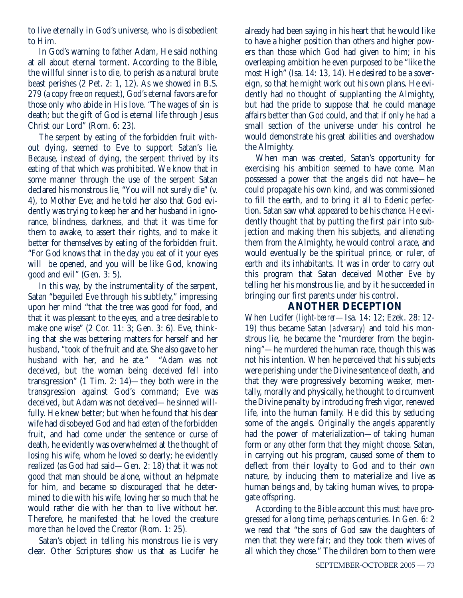to live eternally in God's universe, who is disobedient to Him.

In God's warning to father Adam, He said nothing at all about eternal torment. According to the Bible, the willful sinner is to die, to perish as a natural brute beast perishes (2 Pet. 2: 1, 12). As we showed in B.S. 279 (a copy free on request), God's eternal favors are for those only who abide in His love. "The wages of sin is death; but the gift of God is eternal life through Jesus Christ our Lord" (Rom. 6: 23).

The serpent by eating of the forbidden fruit without dying, seemed to Eve to support Satan's lie. Because, instead of dying, the serpent thrived by its eating of that which was prohibited. We know that in some manner through the use of the serpent Satan declared his monstrous lie, "You will not surely die" (v. 4), to Mother Eve; and he told her also that God evidently was trying to keep her and her husband in ignorance, blindness, darkness, and that it was time for them to awake, to assert their rights, and to make it better for themselves by eating of the forbidden fruit. "For God knows that in the day you eat of it your eyes will be opened, and you will be like God, knowing good and evil" (Gen. 3: 5).

In this way, by the instrumentality of the serpent, Satan "beguiled Eve through his subtlety," impressing upon her mind "that the tree was good for food, and that it was pleasant to the eyes, and a tree desirable to make one wise" (2 Cor. 11: 3; Gen. 3: 6). Eve, thinking that she was bettering matters for herself and her husband, "took of the fruit and ate. She also gave to her husband with her, and he ate." "Adam was not deceived, but the woman being deceived fell into transgression" (1 Tim. 2: 14)—they both were in the transgression against God's command; Eve was deceived, but Adam was not deceived—he sinned willfully. He knew better; but when he found that his dear wife had disobeyed God and had eaten of the forbidden fruit, and had come under the sentence or curse of death, he evidently was overwhelmed at the thought of losing his wife, whom he loved so dearly; he evidently realized (as God had said—Gen. 2: 18) that it was not good that man should be alone, without an helpmate for him, and became so discouraged that he determined to die with his wife, loving her so much that he would rather die with her than to live without her. Therefore, he manifested that he loved the creature more than he loved the Creator (Rom. 1: 25).

Satan's object in telling his monstrous lie is very clear. Other Scriptures show us that as Lucifer he already had been saying in his heart that he would like to have a higher position than others and higher powers than those which God had given to him; in his overleaping ambition he even purposed to be "like the most High" (Isa. 14: 13, 14). He desired to be a sovereign, so that he might work out his own plans. He evidently had no thought of supplanting the Almighty, but had the pride to suppose that he could manage affairs better than God could, and that if only he had a small section of the universe under his control he would demonstrate his great abilities and overshadow the Almighty.

When man was created, Satan's opportunity for exercising his ambition seemed to have come. Man possessed a power that the angels did not have—he could propagate his own kind, and was commissioned to fill the earth, and to bring it all to Edenic perfection. Satan saw what appeared to be his chance. He evidently thought that by putting the first pair into subjection and making them his subjects, and alienating them from the Almighty, he would control a race, and would eventually be the spiritual prince, or ruler, of earth and its inhabitants. It was in order to carry out this program that Satan deceived Mother Eve by telling her his monstrous lie, and by it he succeeded in bringing our first parents under his control.

#### **ANOTHER DECEPTION**

When Lucifer *(light-bearer*—Isa*.* 14: 12; Ezek. 28: 12- 19) thus became Satan *(adversary)* and told his monstrous lie, he became the "murderer from the beginning"—he murdered the human race, though this was not his intention. When he perceived that his subjects were perishing under the Divine sentence of death, and that they were progressively becoming weaker, mentally, morally and physically, he thought to circumvent the Divine penalty by introducing fresh vigor, renewed life, into the human family. He did this by seducing some of the angels. Originally the angels apparently had the power of materialization—of taking human form or any other form that they might choose. Satan, in carrying out his program, caused some of them to deflect from their loyalty to God and to their own nature, by inducing them to materialize and live as human beings and, by taking human wives, to propagate offspring.

According to the Bible account this must have progressed for a long time, perhaps centuries. In Gen. 6: 2 we read that "the sons of God saw the daughters of men that they were fair; and they took them wives of all which they chose." The children born to them were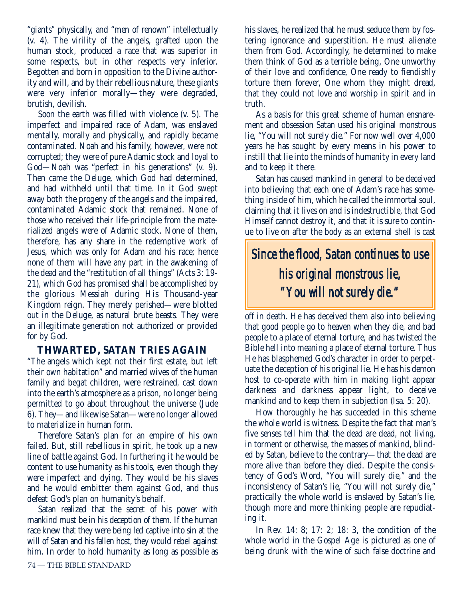"giants" physically, and "men of renown" intellectually (v. 4). The virility of the angels, grafted upon the human stock, produced a race that was superior in some respects, but in other respects very inferior. Begotten and born in opposition to the Divine authority and will, and by their rebellious nature, these giants were very inferior morally—they were degraded, brutish, devilish.

Soon the earth was filled with violence (v. 5). The imperfect and impaired race of Adam, was enslaved mentally, morally and physically, and rapidly became contaminated. Noah and his family, however, were not corrupted; they were of pure Adamic stock and loyal to God—Noah was "perfect in his generations" (v. 9). Then came the Deluge, which God had determined, and had withheld until that time. In it God swept away both the progeny of the angels and the impaired, contaminated Adamic stock that remained. None of those who received their life-principle from the materialized angels were of Adamic stock. None of them, therefore, has any share in the redemptive work of Jesus, which was only for Adam and his race; hence none of them will have any part in the awakening of the dead and the "restitution of all things" (Acts 3: 19- 21), which God has promised shall be accomplished by the glorious Messiah during His Thousand-year Kingdom reign. They merely perished—were blotted out in the Deluge, as natural brute beasts. They were an illegitimate generation not authorized or provided for by God.

#### **THWARTED, SATAN TRIES AGAIN**

"The angels which kept not their first estate, but left their own habitation" and married wives of the human family and begat children, were restrained*,* cast down into the earth's atmosphere as a prison, no longer being permitted to go about throughout the universe (Jude 6). They—and likewise Satan—were no longer allowed to materialize in human form.

Therefore Satan's plan for an empire of his own failed. But, still rebellious in spirit, he took up a new line of battle against God. In furthering it he would be content to use humanity as his tools, even though they were imperfect and dying. They would be his slaves and he would embitter them against God, and thus defeat God's plan on humanity's behalf.

Satan realized that the secret of his power with mankind must be in his deception of them. If the human race knew that they were being led captive into sin at the will of Satan and his fallen host, they would rebel against him. In order to hold humanity as long as possible as his slaves, he realized that he must seduce them by fostering ignorance and superstition. He must alienate them from God. Accordingly, he determined to make them think of God as a terrible being, One unworthy of their love and confidence, One ready to fiendishly torture them forever, One whom they might dread, that they could not love and worship in spirit and in truth.

As a basis for this great scheme of human ensnarement and obsession Satan used his original monstrous lie, "You will not surely die." For now well over 4,000 years he has sought by every means in his power to instill that lie into the minds of humanity in every land and to keep it there.

Satan has caused mankind in general to be deceived into believing that each one of Adam's race has something inside of him, which he called the immortal soul, claiming that it lives on and is indestructible, that God Himself cannot destroy it, and that it is sure to continue to live on after the body as an external shell is cast

## *Since the flood, Satan continues to use his original monstrous lie, "You will not surely die."*

off in death. He has deceived them also into believing that good people go to heaven when they die, and bad people to a place of eternal torture, and has twisted the Bible hell into meaning a place of eternal torture. Thus He has blasphemed God's character in order to perpetuate the deception of his original lie. He has his demon host to co-operate with him in making light appear darkness and darkness appear light, to deceive mankind and to keep them in subjection (Isa. 5: 20).

How thoroughly he has succeeded in this scheme the whole world is witness. Despite the fact that man's five senses tell him that the dead are dead, not *living*, in torment or otherwise, the masses of mankind, blinded by Satan, believe to the contrary—that the dead are more alive than before they died. Despite the consistency of God's Word, "You will surely die," and the inconsistency of Satan's lie, "You will not surely die," practically the whole world is enslaved by Satan's lie, though more and more thinking people are repudiating it.

In Rev. 14: 8; 17: 2; 18: 3, the condition of the whole world in the Gospel Age is pictured as one of being drunk with the wine of such false doctrine and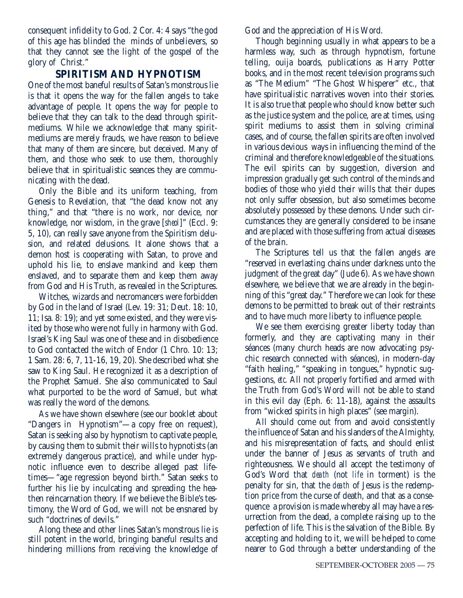consequent infidelity to God. 2 Cor. 4: 4 says "the god of this age has blinded the minds of unbelievers, so that they cannot see the light of the gospel of the glory of Christ."

#### **SPIRITISM AND HYPNOTISM**

One of the most baneful results of Satan's monstrous lie is that it opens the way for the fallen angels to take advantage of people. It opens the way for people to believe that they can talk to the dead through spiritmediums. While we acknowledge that many spiritmediums are merely frauds, we have reason to believe that many of them are sincere, but deceived. Many of them, and those who seek to use them, thoroughly believe that in spiritualistic seances they are communicating with the dead.

Only the Bible and its uniform teaching, from Genesis to Revelation, that "the dead know not any thing," and that "there is no work, nor device, nor knowledge, nor wisdom, in the grave [*sheol*]" (Eccl. 9: 5, 10), can really save anyone from the Spiritism delusion, and related delusions. It alone shows that a demon host is cooperating with Satan, to prove and uphold his lie, to enslave mankind and keep them enslaved, and to separate them and keep them away from God and His Truth, as revealed in the Scriptures.

Witches, wizards and necromancers were forbidden by God in the land of Israel (Lev. 19: 31; Deut. 18: 10, 11; Isa. 8: 19); and yet some existed, and they were visited by those who were not fully in harmony with God. Israel's King Saul was one of these and in disobedience to God contacted the witch of Endor (1 Chro. 10: 13; 1 Sam. 28: 6, 7, 11-16, 19, 20). She described what she saw to King Saul. He recognized it as a description of the Prophet Samuel. She also communicated to Saul what purported to be the word of Samuel, but what was really the word of the demons.

As we have shown elsewhere (see our booklet about "Dangers in Hypnotism"—a copy free on request), Satan is seeking also by hypnotism to captivate people, by causing them to submit their wills to hypnotists (an extremely dangerous practice), and while under hypnotic influence even to describe alleged past lifetimes—"age regression beyond birth." Satan seeks to further his lie by inculcating and spreading the heathen reincarnation theory. If we believe the Bible's testimony, the Word of God, we will not be ensnared by such "doctrines of devils."

Along these and other lines Satan's monstrous lie is still potent in the world, bringing baneful results and hindering millions from receiving the knowledge of God and the appreciation of His Word.

Though beginning usually in what appears to be a harmless way, such as through hypnotism, fortune telling, ouija boards, publications as Harry Potter books, and in the most recent television programs such as "The Medium" "The Ghost Whisperer" etc., that have spiritualistic narratives woven into their stories. It is also true that people who should know better such as the justice system and the police, are at times, using spirit mediums to assist them in solving criminal cases, and of course, the fallen spirits are often involved in various devious ways in influencing the mind of the criminal and therefore knowledgeable of the situations. The evil spirits can by suggestion, diversion and impression gradually get such control of the minds and bodies of those who yield their wills that their dupes not only suffer obsession, but also sometimes become absolutely possessed by these demons. Under such circumstances they are generally considered to be insane and are placed with those suffering from actual diseases of the brain.

The Scriptures tell us that the fallen angels are "reserved in everlasting chains under darkness unto the judgment of the great day" (Jude 6). As we have shown elsewhere, we believe that we are already in the beginning of this "great day." Therefore we can look for these demons to be permitted to break out of their restraints and to have much more liberty to influence people.

We see them exercising greater liberty today than formerly, and they are captivating many in their séances (many church heads are now advocating psychic research connected with séances), in modern-day "faith healing," "speaking in tongues," hypnotic suggestions, *etc.* All not properly fortified and armed with the Truth from God's Word will not be able to stand in this evil day (Eph. 6: 11-18), against the assaults from "wicked spirits in high places" (see margin).

All should come out from and avoid consistently the influence of Satan and his slanders of the Almighty, and his misrepresentation of facts, and should enlist under the banner of Jesus as servants of truth and righteousness. We should all accept the testimony of God's Word that *death* (not *life* in torment) is the penalty for sin, that the *death* of Jesus is the redemption price from the curse of death, and that as a consequence a provision is made whereby all may have a resurrection from the dead, a complete raising up to the perfection of life. This is the salvation of the Bible. By accepting and holding to it, we will be helped to come nearer to God through a better understanding of the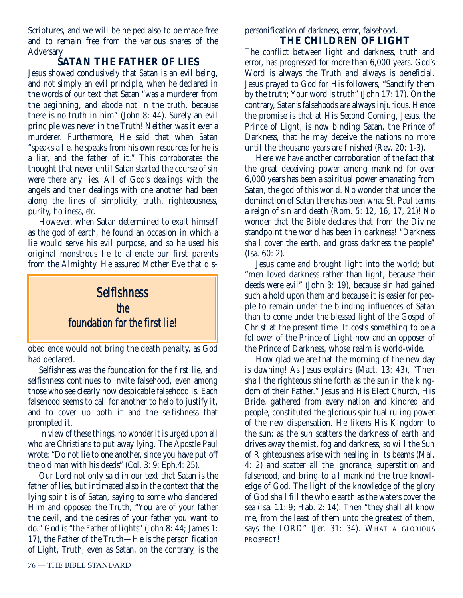Scriptures, and we will be helped also to be made free and to remain free from the various snares of the Adversary.

#### **SATAN THE FATHER OF LIES**

Jesus showed conclusively that Satan is an evil being, and not simply an evil principle, when he declared in the words of our text that Satan "was a murderer from the beginning, and abode not in the truth, because there is no truth in him" (John 8: 44). Surely an evil principle was never in the Truth! Neither was it ever a murderer. Furthermore, He said that when Satan "speaks a lie, he speaks from his own resources for he is a liar, and the father of it." This corroborates the thought that never until Satan started the course of sin were there any lies. All of God's dealings with the angels and their dealings with one another had been along the lines of simplicity, truth, righteousness, purity, holiness, *etc.*

However, when Satan determined to exalt himself as the god of earth, he found an occasion in which a lie would serve his evil purpose, and so he used his original monstrous lie to alienate our first parents from the Almighty. He assured Mother Eve that dis-



obedience would not bring the death penalty, as God had declared.

Selfishness was the foundation for the first lie, and selfishness continues to invite falsehood, even among those who see clearly how despicable falsehood is. Each falsehood seems to call for another to help to justify it, and to cover up both it and the selfishness that prompted it.

In view of these things, no wonder it is urged upon all who are Christians to put away lying. The Apostle Paul wrote: "Do not lie to one another, since you have put off the old man with his deeds" (Col. 3: 9; Eph.4: 25).

Our Lord not only said in our text that Satan is the father of lies, but intimated also in the context that the lying spirit is of Satan, saying to some who slandered Him and opposed the Truth, "You are of your father the devil, and the desires of your father you want to do." God is "the Father of lights" (John 8: 44; James 1: 17), the Father of the Truth—He is the personification of Light, Truth, even as Satan, on the contrary, is the

personification of darkness, error, falsehood. **THE CHILDREN OF LIGHT**

The conflict between light and darkness, truth and error, has progressed for more than 6,000 years. God's Word is always the Truth and always is beneficial. Jesus prayed to God for His followers, "Sanctify them by the truth; Your word is truth" (John 17: 17). On the contrary, Satan's falsehoods are always injurious. Hence the promise is that at His Second Coming, Jesus, the Prince of Light, is now binding Satan, the Prince of Darkness, that he may deceive the nations no more until the thousand years are finished (Rev. 20: 1-3).

Here we have another corroboration of the fact that the great deceiving power among mankind for over 6,000 years has been a spiritual power emanating from Satan, the god of this world. No wonder that under the domination of Satan there has been what St. Paul terms a reign of sin and death (Rom. 5: 12, 16, 17, 21)! No wonder that the Bible declares that from the Divine standpoint the world has been in darkness! "Darkness shall cover the earth, and gross darkness the people" (Isa. 60: 2).

Jesus came and brought light into the world; but "men loved darkness rather than light, because their deeds were evil" (John 3: 19), because sin had gained such a hold upon them and because it is easier for people to remain under the blinding influences of Satan than to come under the blessed light of the Gospel of Christ at the present time. It costs something to be a follower of the Prince of Light now and an opposer of the Prince of Darkness, whose realm is world-wide.

How glad we are that the morning of the new day is dawning! As Jesus explains (Matt. 13: 43), "Then shall the righteous shine forth as the sun in the kingdom of their Father." Jesus and His Elect Church, His Bride, gathered from every nation and kindred and people, constituted the glorious spiritual ruling power of the new dispensation. He likens His Kingdom to the sun: as the sun scatters the darkness of earth and drives away the mist, fog and darkness, so will the Sun of Righteousness arise with healing in its beams (Mal. 4: 2) and scatter all the ignorance, superstition and falsehood, and bring to all mankind the true knowledge of God. The light of the knowledge of the glory of God shall fill the whole earth as the waters cover the sea (Isa. 11: 9; Hab. 2: 14). Then "they shall all know me, from the least of them unto the greatest of them, says the LORD" (Jer. 31: 34). WHAT A GLORIOUS PROSPECT!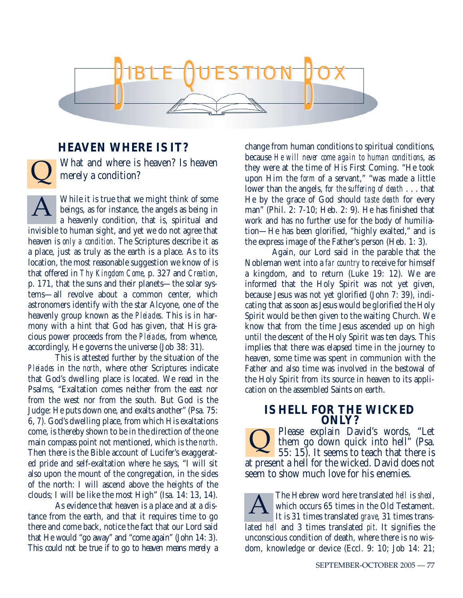

#### **HEAVEN WHERE IS IT?**

 $\overline{\mathsf{Q}}$ 

What and where is heaven? Is heaven merely a condition?

While it is true that we might think of some beings, as for instance, the angels as being in a heavenly condition, that is, spiritual and invisible to human sight, and yet we do not agree that heaven is *only a condition*. The Scriptures describe it as a place, just as truly as the earth is a place. As to its location, the most reasonable suggestion we know of is that offered in *Thy Kingdom Come*, p. 327 and *Creation*, p. 171, that the suns and their planets—the solar systems—all revolve about a common center, which astronomers identify with the star Alcyone, one of the heavenly group known as the *Pleiades*. This is in harmony with a hint that God has given, that His gracious power proceeds from the *Pleiades*, from whence, accordingly, He governs the universe (Job 38: 31). A

This is attested further by the situation of the *Pleiades* in the *north*, where other Scriptures indicate that God's dwelling place is located. We read in the Psalms, "Exaltation comes neither from the east nor from the west nor from the south. But God is the Judge: He puts down one, and exalts another" (Psa. 75: 6, 7). God's dwelling place, from which His exaltations come, is thereby shown to be in the direction of the one main compass point not mentioned, which is the *north*. Then there is the Bible account of Lucifer's exaggerated pride and self-exaltation where he says, "I will sit also upon the mount of the congregation, in the sides of the north: I will ascend above the heights of the clouds; I will be like the most High" (Isa. 14: 13, 14).

As evidence that heaven is a place and at a distance from the earth, and that it requires time to go there and come back, notice the fact that our Lord said that He would "go away" and "come again" (John 14: 3). This could not be true if to go to heaven means merely a change from human conditions to spiritual conditions, because *He will never come again to human conditions*, as they were at the time of His First Coming. "He took upon Him the *form* of a servant," "was made a little lower than the angels, f*or the suffering of death* . . . that He by the grace of God should *taste death* for every man" (Phil. 2: 7-10; Heb. 2: 9). He has finished that work and has no further use for the body of humiliation—He has been glorified, "highly exalted," and is the express image of the Father's person (Heb. 1: 3).

Again, our Lord said in the parable that the Nobleman went into a *far country* to receive for himself a kingdom, and to return (Luke 19: 12). We are informed that the Holy Spirit was not yet given, because Jesus was not yet glorified (John 7: 39), indicating that as soon as Jesus would be glorified the Holy Spirit would be then given to the waiting Church. We know that from the time Jesus ascended up on high until the descent of the Holy Spirit was ten days. This implies that there was elapsed time in the journey to heaven, some time was spent in communion with the Father and also time was involved in the bestowal of the Holy Spirit from its source in heaven to its application on the assembled Saints on earth.

#### **IS HELL FOR THE WICKED ONLY?**

Please explain David's words, "Let them go down quick into hell" (Psa. 55: 15). It seems to teach that there is at present a hell for the wicked. David does not seem to show much love for his enemies.  $\overline{\mathsf{Q}}$ 

The Hebrew word here translated *hell* is *sheol*, which occurs 65 times in the Old Testament. It is 31 times translated *grave*, 31 times translated *hell* and 3 times translated *pit*. It signifies the unconscious condition of death, where there is no wisdom, knowledge or device (Eccl. 9: 10; Job 14: 21; A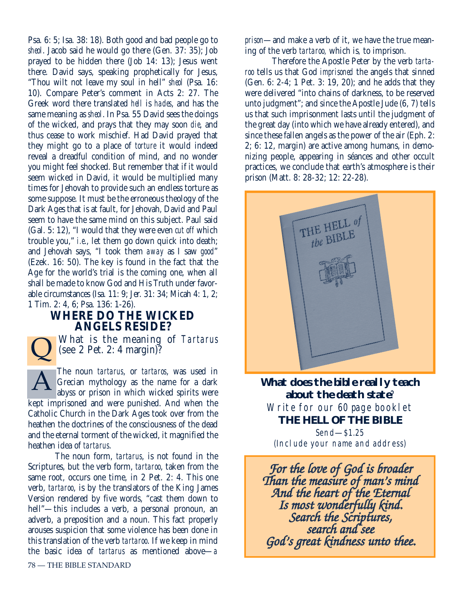Psa. 6: 5; Isa. 38: 18). Both good and bad people go to *sheol*. Jacob said he would go there (Gen. 37: 35); Job prayed to be hidden there (Job 14: 13); Jesus went there. David says, speaking prophetically for Jesus, "Thou wilt not leave my soul in hell" *sheol* (Psa. 16: 10). Compare Peter's comment in Acts 2: 27. The Greek word there translated *hell* is *hades*, and has the same meaning as *sheol*. In Psa. 55 David sees the doings of the wicked, and prays that they may soon *die*, and thus cease to work mischief. Had David prayed that they might go to a place of *torture* it would indeed reveal a dreadful condition of mind, and no wonder you might feel shocked. But remember that if it would seem wicked in David, it would be multiplied many times for Jehovah to provide such an endless torture as some suppose. It must be the erroneous theology of the Dark Ages that is at fault, for Jehovah, David and Paul seem to have the same mind on this subject. Paul said (Gal. 5: 12), "I would that they were even *cut off* which trouble you," *i.e*., let them go down quick into death; and Jehovah says, "I took them *away* as I saw *good*" (Ezek. 16: 50). The key is found in the fact that the Age for the world's trial is the coming one, when all shall be made to know God and His Truth under favorable circumstances (Isa. 11: 9; Jer. 31: 34; Micah 4: 1, 2; 1 Tim. 2: 4, 6; Psa. 136: 1-26).

#### **WHERE DO THE WICKED ANGELS RESIDE?**

 $\overline{\mathsf{Q}}$ 

What is the meaning of *Tartarus* (see 2 Pet. 2: 4 margin)?

The noun *tartarus*, or *tartaros*, was used in Grecian mythology as the name for a dark abyss or prison in which wicked spirits were kept imprisoned and were punished. And when the Catholic Church in the Dark Ages took over from the heathen the doctrines of the consciousness of the dead and the eternal torment of the wicked, it magnified the heathen idea of *tartarus*. A

The noun form, *tartarus*, is not found in the Scriptures, but the verb form, *tartaroo*, taken from the same root, occurs one time, in 2 Pet. 2: 4. This one verb, *tartaroo*, is by the translators of the King James Version rendered by five words, "cast them down to hell"—this includes a verb, a personal pronoun, an adverb, a preposition and a noun. This fact properly arouses suspicion that some violence has been done in this translation of the verb *tartaroo*. If we keep in mind the basic idea of *tartarus* as mentioned above—*a*

*prison*—and make a verb of it, we have the true meaning of the verb *tartaroo,* which is*,* to imprison.

Therefore the Apostle Peter by the verb *tartaroo* tells us that God *imprisoned* the angels that sinned (Gen. 6: 2-4; 1 Pet. 3: 19, 20); and he adds that they were delivered "into chains of darkness, to be reserved unto judgment"; and since the Apostle Jude (6, 7) tells us that such imprisonment lasts until the judgment of the great day (into which we have already entered), and since these fallen angels as the power of the air (Eph. 2: 2; 6: 12, margin) are active among humans, in demonizing people, appearing in séances and other occult practices, we conclude that earth's atmosphere is their prison (Matt. 8: 28-32; 12: 22-28).



**What does the bible really teach about the death state**? Write for our 60 page booklet **THE HELL OF THE BIBLE** Send—\$1.25 (Include your name and address)

*For the love of God is broader Than the measure of man's mind And the heart of the Eternal Is most wonderfully kind. Search the Scriptures, search and see God's great kindness unto thee.*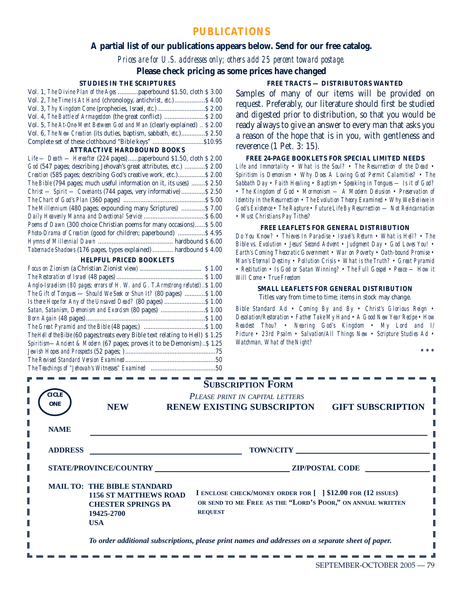#### **PUBLICATIONS**

#### **A partial list of our publications appears below. Send for our free catalog.**

*Prices are for U.S. addresses only; others add 25 percent toward postage.*

#### **Please check pricing as some prices have changed**

#### **STUDIES IN THE SCRIPTURES**

| Vol. 1, The Divine Plan of the Ages paperbound \$1.50, cloth \$3.00      |  |
|--------------------------------------------------------------------------|--|
| Vol. 2, The Time Is At Hand (chronology, antichrist, etc.) \$4.00        |  |
|                                                                          |  |
| Vol. 4, The Battle of Armageddon (the great conflict)  \$2.00            |  |
| Vol. 5, The At-One-Ment Between God and Man (clearly explained)  \$ 2.00 |  |
| Vol. 6, The New Creation (its duties, baptism, sabbath, etc.) \$2.50     |  |
|                                                                          |  |
|                                                                          |  |

#### **ATTRACTIVE HARDBOUND BOOKS**

| $Life$ — Death — Hereafter (224 pages)  paperbound \$1.50, cloth \$2.00 |
|-------------------------------------------------------------------------|
| God (547 pages; describing Jehovah's great attributes, etc.)  \$2.00    |
| Creation (585 pages; describing God's creative work, etc.) \$2.00       |
| The Bible (794 pages; much useful information on it, its uses)  \$2.50  |
| Christ - Spirit - Covenants (744 pages, very informative)  \$2.50       |
|                                                                         |
| The Millennium (480 pages; expounding many Scriptures)  \$7.00          |
|                                                                         |
| Poems of Dawn (300 choice Christian poems for many occasions)\$ 5.00    |
| Photo-Drama of Creation (good for children; paperbound)  \$4.95         |
|                                                                         |
| Tabernacle Shadows (176 pages, types explained)  hardbound \$4.00       |
|                                                                         |

#### **HELPFUL PRICED BOOKLETS**

| Anglo-Israelism (80 pages; errors of H. W. and G. T.Armstrong refuted)\$ 1.00            |  |
|------------------------------------------------------------------------------------------|--|
| The Gift of Tongues — Should We Seek or Shun It? (80 pages) \$ 1.00                      |  |
|                                                                                          |  |
|                                                                                          |  |
|                                                                                          |  |
|                                                                                          |  |
| <i>The Hell of the Bible</i> (60 pages; treats every Bible text relating to Hell) \$1.25 |  |
| <i>Spiritism—Ancient &amp; Modern</i> (67 pages; proves it to be Demonism)\$ 1.25        |  |
|                                                                                          |  |
|                                                                                          |  |
| The Teachings of "Jehovah's Witnesses" Examined <i>communication</i> 50                  |  |

#### **FREE TRACTS — DISTRIBUTORS WANTED**

Samples of many of our items will be provided on request. Preferably, our literature should first be studied and digested prior to distribution, so that you would be ready always to give an answer to every man that asks you a reason of the hope that is in you, with gentleness and reverence (1 Pet. 3: 15).

#### **FREE 24-PAGE BOOKLETS FOR SPECIAL LIMITED NEEDS**

*Life and Immortality • What is the Soul? • The Resurrection of the Dead • Spiritism is Demonism • Why Does A Loving God Permit Calamities? • The Sabbath Day • Faith Healing • Baptism • Speaking in Tongues — Is it of God? • The Kingdom of God • Mormonism — A Modern Delusion • Preservation of Identity in the Resurrection • The Evolution Theory Examined • Why We Believe in God's Existence • The Rapture • Future Life By Resurrection — Not Reincarnation • Must Christians Pay Tithes?*

#### **FREE LEAFLETS FOR GENERAL DISTRIBUTION**

*Do You Know? • Thieves In Paradise • Israel's Return • What is Hell? • The Bible vs. Evolution • Jesus' Second Advent • Judgment Day • God Loves You! • Earth's Coming Theocratic Government • War on Poverty • Oath-bound Promise • Man's Eternal Destiny • Pollution Crisis • What is the Truth? • Great Pyramid • Restitution • Is God or Satan Winning? • The Full Gospel • Peace — How it Will Come • True Freedom*

#### **SMALL LEAFLETS FOR GENERAL DISTRIBUTION** Titles vary from time to time; items in stock may change.

*Bible Standard Ad • Coming By and By • Christ's Glorious Reign • Desolation/Restoration • Father Take My Hand • A Good New Year Recipe • How Readest Thou? • Nearing God's Kingdom • My Lord and I/ Picture • 23rd Psalm • Salvation/All Things New • Scripture Studies Ad • Watchman, What of the Night?*

| CICLE<br><b>ONE</b><br><b>NAME</b>                                                                | <b>NEW</b>                                                                                                                                                   | <b>SUBSCRIPTION FORM</b><br>PLEASE PRINT IN CAPITAL LETTERS<br><b>RENEW EXISTING SUBSCRIPTON</b><br><b>GIFT SUBSCRIPTION</b>                                          |
|---------------------------------------------------------------------------------------------------|--------------------------------------------------------------------------------------------------------------------------------------------------------------|-----------------------------------------------------------------------------------------------------------------------------------------------------------------------|
| <b>ADDRESS</b>                                                                                    |                                                                                                                                                              | <b>TOWN/CITY</b>                                                                                                                                                      |
|                                                                                                   | <b>STATE/PROVINCE/COUNTRY</b><br><b>MAIL TO: THE BIBLE STANDARD</b><br><b>1156 ST MATTHEWS ROAD</b><br><b>CHESTER SPRINGS PA</b><br>19425-2700<br><b>USA</b> | <b>ZIP/POSTAL CODE</b><br>I ENCLOSE CHECK/MONEY ORDER FOR [ ] \$12.00 FOR (12 ISSUES)<br>OR SEND TO ME FREE AS THE "LORD'S POOR," ON ANNUAL WRITTEN<br><b>REQUEST</b> |
| To order additional subscriptions, please print names and addresses on a separate sheet of paper. |                                                                                                                                                              |                                                                                                                                                                       |

**\* \* \***